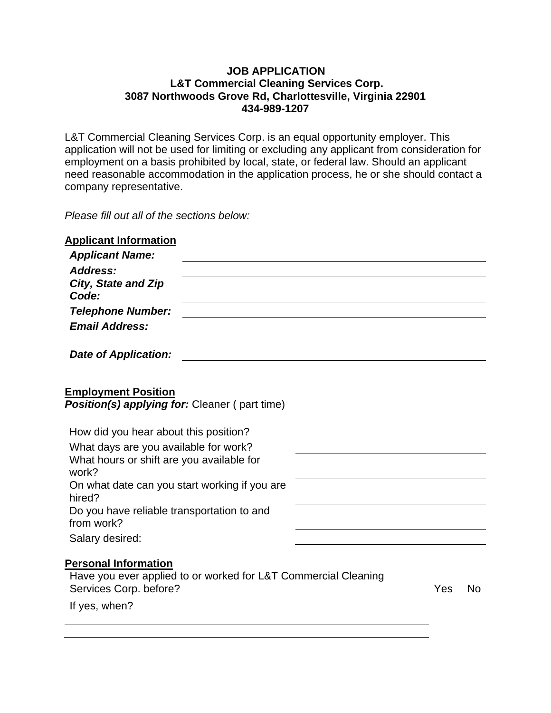#### **JOB APPLICATION L&T Commercial Cleaning Services Corp. 3087 Northwoods Grove Rd, Charlottesville, Virginia 22901 434-989-1207**

L&T Commercial Cleaning Services Corp. is an equal opportunity employer. This application will not be used for limiting or excluding any applicant from consideration for employment on a basis prohibited by local, state, or federal law. Should an applicant need reasonable accommodation in the application process, he or she should contact a company representative.

*Please fill out all of the sections below:*

| <b>Applicant Information</b><br><b>Applicant Name:</b>                                                                  |  |     |           |
|-------------------------------------------------------------------------------------------------------------------------|--|-----|-----------|
| <b>Address:</b><br>City, State and Zip<br>Code:                                                                         |  |     |           |
| <b>Telephone Number:</b><br><b>Email Address:</b>                                                                       |  |     |           |
| Date of Application:                                                                                                    |  |     |           |
| <b>Employment Position</b><br>Position(s) applying for: Cleaner (part time)                                             |  |     |           |
| How did you hear about this position?                                                                                   |  |     |           |
| What days are you available for work?<br>What hours or shift are you available for<br>work?                             |  |     |           |
| On what date can you start working if you are<br>hired?                                                                 |  |     |           |
| Do you have reliable transportation to and<br>from work?                                                                |  |     |           |
| Salary desired:                                                                                                         |  |     |           |
| <b>Personal Information</b><br>Have you ever applied to or worked for L&T Commercial Cleaning<br>Services Corp. before? |  | Yes | <b>No</b> |
| If yes, when?                                                                                                           |  |     |           |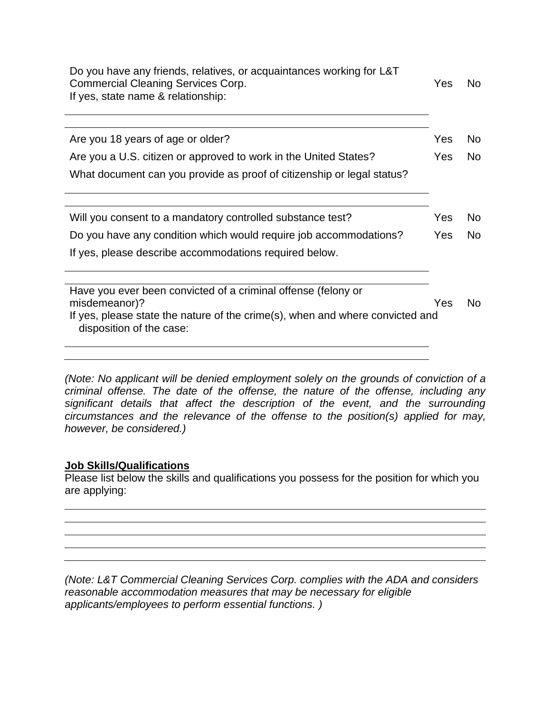| Do you have any friends, relatives, or acquaintances working for L&T<br><b>Commercial Cleaning Services Corp.</b><br>If yes, state name & relationship: | Yes        | No.            |
|---------------------------------------------------------------------------------------------------------------------------------------------------------|------------|----------------|
|                                                                                                                                                         |            |                |
| Are you 18 years of age or older?                                                                                                                       | Yes        | <b>No</b>      |
| Are you a U.S. citizen or approved to work in the United States?                                                                                        | Yes.       | <b>No</b>      |
| What document can you provide as proof of citizenship or legal status?                                                                                  |            |                |
| Will you consent to a mandatory controlled substance test?                                                                                              | Yes        | No.            |
| Do you have any condition which would require job accommodations?                                                                                       | <b>Yes</b> | N <sub>o</sub> |
| If yes, please describe accommodations required below.                                                                                                  |            |                |
| Have you ever been convicted of a criminal offense (felony or                                                                                           |            |                |
| misdemeanor)?                                                                                                                                           | Yes        | No.            |
| If yes, please state the nature of the crime(s), when and where convicted and<br>disposition of the case:                                               |            |                |
|                                                                                                                                                         |            |                |

*(Note: No applicant will be denied employment solely on the grounds of conviction of a criminal offense. The date of the offense, the nature of the offense, including any significant details that affect the description of the event, and the surrounding circumstances and the relevance of the offense to the position(s) applied for may, however, be considered.)*

### **Job Skills/Qualifications**

Please list below the skills and qualifications you possess for the position for which you are applying:

*(Note: L&T Commercial Cleaning Services Corp. complies with the ADA and considers reasonable accommodation measures that may be necessary for eligible applicants/employees to perform essential functions. )*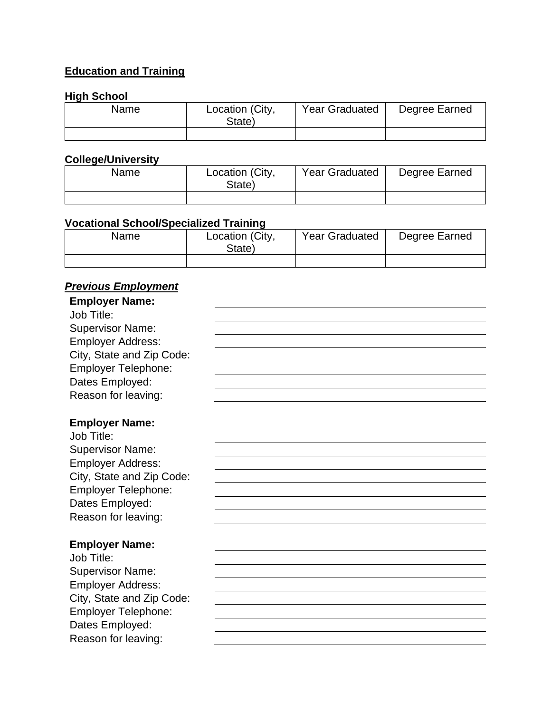# **Education and Training**

## **High School**

| Name | Location (City,<br>State) | <b>Year Graduated</b> | Degree Earned |
|------|---------------------------|-----------------------|---------------|
|      |                           |                       |               |

## **College/University**

| Name | Location (City,<br>State) | <b>Year Graduated</b> | Degree Earned |
|------|---------------------------|-----------------------|---------------|
|      |                           |                       |               |

## **Vocational School/Specialized Training**

| Name | Location (City,<br>State) | <b>Year Graduated</b> | Degree Earned |
|------|---------------------------|-----------------------|---------------|
|      |                           |                       |               |

# *Previous Employment*

| <b>Employer Name:</b>      |  |
|----------------------------|--|
| Job Title:                 |  |
| <b>Supervisor Name:</b>    |  |
| <b>Employer Address:</b>   |  |
| City, State and Zip Code:  |  |
| <b>Employer Telephone:</b> |  |
| Dates Employed:            |  |
| Reason for leaving:        |  |
|                            |  |
| <b>Employer Name:</b>      |  |
| Job Title:                 |  |
| <b>Supervisor Name:</b>    |  |
| <b>Employer Address:</b>   |  |
| City, State and Zip Code:  |  |
| <b>Employer Telephone:</b> |  |
| Dates Employed:            |  |
| Reason for leaving:        |  |
|                            |  |
| <b>Employer Name:</b>      |  |
| Job Title:                 |  |
| <b>Supervisor Name:</b>    |  |
| <b>Employer Address:</b>   |  |
| City, State and Zip Code:  |  |
| <b>Employer Telephone:</b> |  |
| Dates Employed:            |  |
| Reason for leaving:        |  |